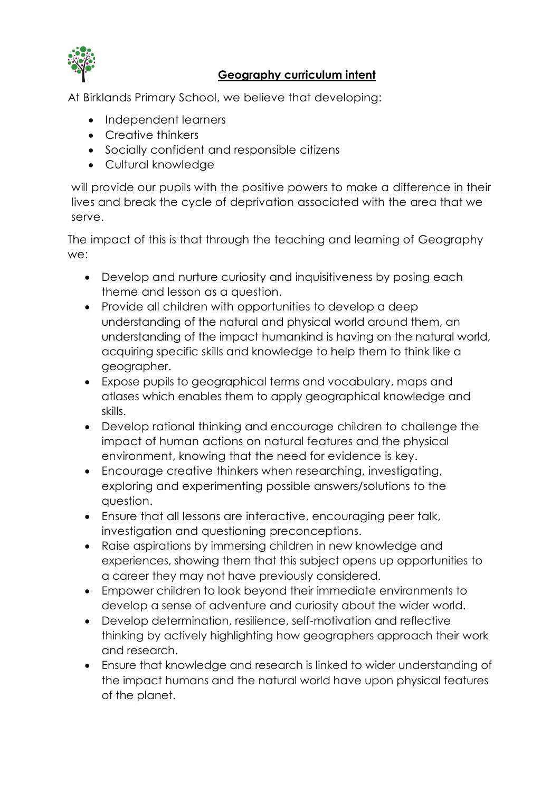

## **Geography curriculum intent**

At Birklands Primary School, we believe that developing:

- Independent learners
- Creative thinkers
- Socially confident and responsible citizens
- Cultural knowledge

will provide our pupils with the positive powers to make a difference in their lives and break the cycle of deprivation associated with the area that we serve.

The impact of this is that through the teaching and learning of Geography we:

- Develop and nurture curiosity and inquisitiveness by posing each theme and lesson as a question.
- Provide all children with opportunities to develop a deep understanding of the natural and physical world around them, an understanding of the impact humankind is having on the natural world, acquiring specific skills and knowledge to help them to think like a geographer.
- Expose pupils to geographical terms and vocabulary, maps and atlases which enables them to apply geographical knowledge and skills.
- Develop rational thinking and encourage children to challenge the impact of human actions on natural features and the physical environment, knowing that the need for evidence is key.
- Encourage creative thinkers when researching, investigating, exploring and experimenting possible answers/solutions to the question.
- Ensure that all lessons are interactive, encouraging peer talk, investigation and questioning preconceptions.
- Raise aspirations by immersing children in new knowledge and experiences, showing them that this subject opens up opportunities to a career they may not have previously considered.
- Empower children to look beyond their immediate environments to develop a sense of adventure and curiosity about the wider world.
- Develop determination, resilience, self-motivation and reflective thinking by actively highlighting how geographers approach their work and research.
- Ensure that knowledge and research is linked to wider understanding of the impact humans and the natural world have upon physical features of the planet.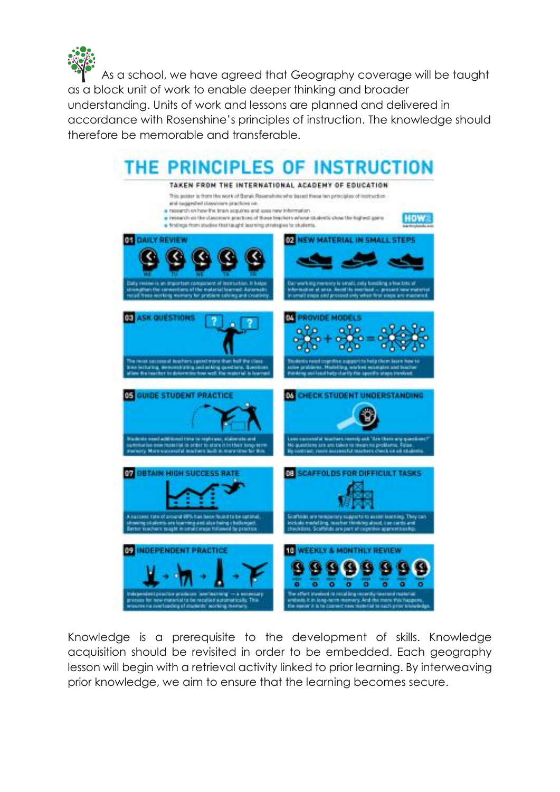

As a school, we have agreed that Geography coverage will be taught as a block unit of work to enable deeper thinking and broader understanding. Units of work and lessons are planned and delivered in accordance with Rosenshine's principles of instruction. The knowledge should therefore be memorable and transferable.



Knowledge is a prerequisite to the development of skills. Knowledge acquisition should be revisited in order to be embedded. Each geography lesson will begin with a retrieval activity linked to prior learning. By interweaving prior knowledge, we aim to ensure that the learning becomes secure.